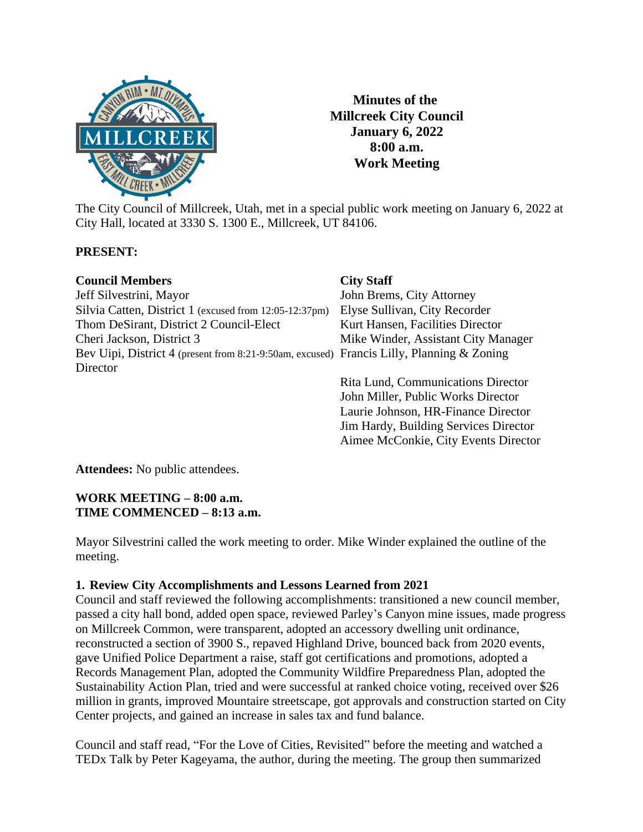

**Minutes of the Millcreek City Council January 6, 2022 8:00 a.m. Work Meeting**

 Jim Hardy, Building Services Director Aimee McConkie, City Events Director

The City Council of Millcreek, Utah, met in a special public work meeting on January 6, 2022 at City Hall, located at 3330 S. 1300 E., Millcreek, UT 84106.

## **PRESENT:**

| <b>Council Members</b>                                                                    | <b>City Staff</b>                   |
|-------------------------------------------------------------------------------------------|-------------------------------------|
| Jeff Silvestrini, Mayor                                                                   | John Brems, City Attorney           |
| Silvia Catten, District 1 (excused from 12:05-12:37pm)                                    | Elyse Sullivan, City Recorder       |
| Thom DeSirant, District 2 Council-Elect                                                   | Kurt Hansen, Facilities Director    |
| Cheri Jackson, District 3                                                                 | Mike Winder, Assistant City Manager |
| Bev Uipi, District 4 (present from 8:21-9:50am, excused) Francis Lilly, Planning & Zoning |                                     |
| Director                                                                                  |                                     |
|                                                                                           | Rita Lund, Communications Director  |
|                                                                                           | John Miller, Public Works Director  |
|                                                                                           | Laurie Johnson, HR-Finance Director |

**Attendees:** No public attendees.

## **WORK MEETING – 8:00 a.m. TIME COMMENCED – 8:13 a.m.**

Mayor Silvestrini called the work meeting to order. Mike Winder explained the outline of the meeting.

## **1. Review City Accomplishments and Lessons Learned from 2021**

Council and staff reviewed the following accomplishments: transitioned a new council member, passed a city hall bond, added open space, reviewed Parley's Canyon mine issues, made progress on Millcreek Common, were transparent, adopted an accessory dwelling unit ordinance, reconstructed a section of 3900 S., repaved Highland Drive, bounced back from 2020 events, gave Unified Police Department a raise, staff got certifications and promotions, adopted a Records Management Plan, adopted the Community Wildfire Preparedness Plan, adopted the Sustainability Action Plan, tried and were successful at ranked choice voting, received over \$26 million in grants, improved Mountaire streetscape, got approvals and construction started on City Center projects, and gained an increase in sales tax and fund balance.

Council and staff read, "For the Love of Cities, Revisited" before the meeting and watched a TEDx Talk by Peter Kageyama, the author, during the meeting. The group then summarized